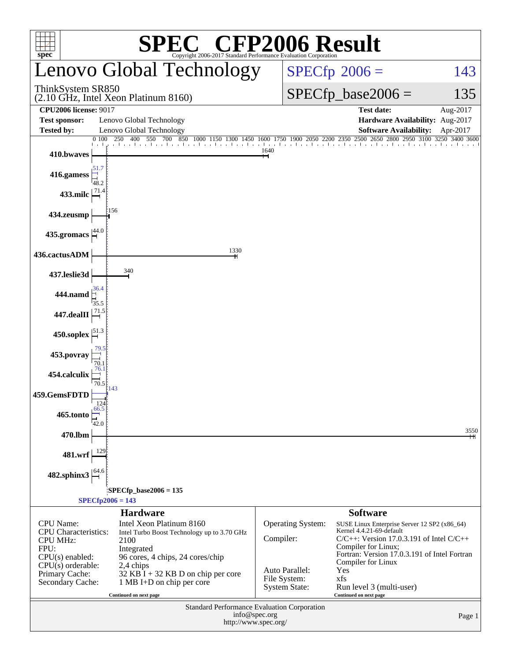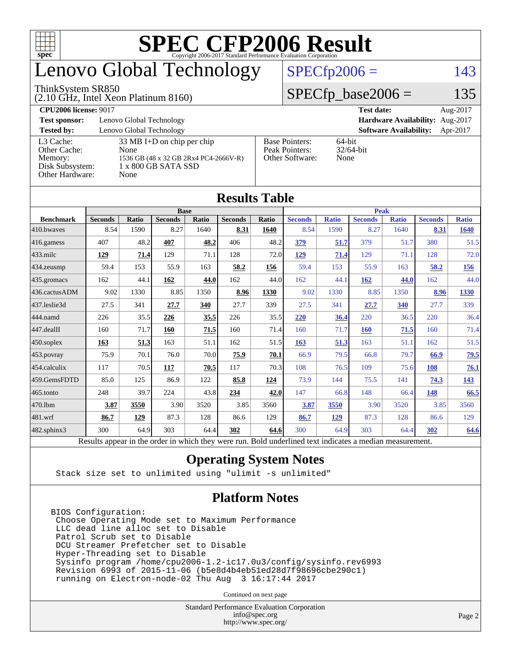

## enovo Global Technology

#### ThinkSystem SR850

(2.10 GHz, Intel Xeon Platinum 8160)

 $SPECfp2006 = 143$  $SPECfp2006 = 143$ 

#### $SPECfp\_base2006 = 135$

| <b>CPU2006 license: 9017</b> |                                       |                       | <b>Test date:</b><br>Aug-2017             |
|------------------------------|---------------------------------------|-----------------------|-------------------------------------------|
| <b>Test sponsor:</b>         | Lenovo Global Technology              |                       | Hardware Availability: Aug-2017           |
| <b>Tested by:</b>            | Lenovo Global Technology              |                       | <b>Software Availability:</b><br>Apr-2017 |
| L3 Cache:                    | $33 \text{ MB I+D}$ on chip per chip  | <b>Base Pointers:</b> | 64-bit                                    |
| Other Cache:                 | None                                  | Peak Pointers:        | $32/64$ -bit                              |
| Memory:                      | 1536 GB (48 x 32 GB 2Rx4 PC4-2666V-R) | Other Software:       | None                                      |
| Disk Subsystem:              | 1 x 800 GB SATA SSD                   |                       |                                           |
| Other Hardware:              | None                                  |                       |                                           |

**[Results Table](http://www.spec.org/auto/cpu2006/Docs/result-fields.html#ResultsTable)**

| Results Table    |                                                                                                          |              |                |       |                |             |                |              |                |              |                |              |
|------------------|----------------------------------------------------------------------------------------------------------|--------------|----------------|-------|----------------|-------------|----------------|--------------|----------------|--------------|----------------|--------------|
|                  | <b>Base</b>                                                                                              |              |                |       |                | <b>Peak</b> |                |              |                |              |                |              |
| <b>Benchmark</b> | <b>Seconds</b>                                                                                           | <b>Ratio</b> | <b>Seconds</b> | Ratio | <b>Seconds</b> | Ratio       | <b>Seconds</b> | <b>Ratio</b> | <b>Seconds</b> | <b>Ratio</b> | <b>Seconds</b> | <b>Ratio</b> |
| 410.bwayes       | 8.54                                                                                                     | 1590         | 8.27           | 1640  | 8.31           | 1640        | 8.54           | 1590         | 8.27           | 1640         | 8.31           | <b>1640</b>  |
| $416$ .gamess    | 407                                                                                                      | 48.2         | 407            | 48.2  | 406            | 48.2        | 379            | 51.7         | 379            | 51.7         | 380            | 51.5         |
| 433.milc         | 129                                                                                                      | 71.4         | 129            | 71.1  | 128            | 72.0        | 129            | 71.4         | 129            | 71.1         | 128            | 72.0         |
| $434$ . zeusmp   | 59.4                                                                                                     | 153          | 55.9           | 163   | 58.2           | 156         | 59.4           | 153          | 55.9           | 163          | 58.2           | <u>156</u>   |
| $435.$ gromacs   | 162                                                                                                      | 44.1         | 162            | 44.0  | 162            | 44.0        | 162            | 44.1         | 162            | 44.0         | 162            | 44.0         |
| 436.cactusADM    | 9.02                                                                                                     | 1330         | 8.85           | 1350  | 8.96           | 1330        | 9.02           | 1330         | 8.85           | 1350         | 8.96           | 1330         |
| 437.leslie3d     | 27.5                                                                                                     | 341          | 27.7           | 340   | 27.7           | 339         | 27.5           | 341          | 27.7           | 340          | 27.7           | 339          |
| 444.namd         | 226                                                                                                      | 35.5         | 226            | 35.5  | 226            | 35.5        | 220            | 36.4         | 220            | 36.5         | 220            | 36.4         |
| $447$ .dealII    | 160                                                                                                      | 71.7         | 160            | 71.5  | 160            | 71.4        | 160            | 71.7         | <b>160</b>     | 71.5         | 160            | 71.4         |
| $ 450$ .soplex   | 163                                                                                                      | 51.3         | 163            | 51.1  | 162            | 51.5        | 163            | 51.3         | 163            | 51.1         | 162            | 51.5         |
| $453$ .povray    | 75.9                                                                                                     | 70.1         | 76.0           | 70.0  | 75.9           | 70.1        | 66.9           | 79.5         | 66.8           | 79.7         | 66.9           | 79.5         |
| $454$ .calculix  | 117                                                                                                      | 70.5         | 117            | 70.5  | 117            | 70.3        | 108            | 76.5         | 109            | 75.6         | 108            | 76.1         |
| 459.GemsFDTD     | 85.0                                                                                                     | 125          | 86.9           | 122   | 85.8           | 124         | 73.9           | 144          | 75.5           | 141          | 74.3           | 143          |
| $465$ .tonto     | 248                                                                                                      | 39.7         | 224            | 43.8  | 234            | 42.0        | 147            | 66.8         | 148            | 66.4         | 148            | 66.5         |
| 470.1bm          | 3.87                                                                                                     | 3550         | 3.90           | 3520  | 3.85           | 3560        | 3.87           | 3550         | 3.90           | 3520         | 3.85           | 3560         |
| $ 481$ .wrf      | 86.7                                                                                                     | <u>129</u>   | 87.3           | 128   | 86.6           | 129         | 86.7           | 129          | 87.3           | 128          | 86.6           | 129          |
| 482.sphinx3      | 300                                                                                                      | 64.9         | 303            | 64.4  | 302            | 64.6        | 300            | 64.9         | 303            | 64.4         | 302            | 64.6         |
|                  | Results appear in the order in which they were run. Bold underlined text indicates a median measurement. |              |                |       |                |             |                |              |                |              |                |              |

#### **[Operating System Notes](http://www.spec.org/auto/cpu2006/Docs/result-fields.html#OperatingSystemNotes)**

Stack size set to unlimited using "ulimit -s unlimited"

#### **[Platform Notes](http://www.spec.org/auto/cpu2006/Docs/result-fields.html#PlatformNotes)**

BIOS Configuration: Choose Operating Mode set to Maximum Performance LLC dead line alloc set to Disable Patrol Scrub set to Disable DCU Streamer Prefetcher set to Disable Hyper-Threading set to Disable Sysinfo program /home/cpu2006-1.2-ic17.0u3/config/sysinfo.rev6993 Revision 6993 of 2015-11-06 (b5e8d4b4eb51ed28d7f98696cbe290c1) running on Electron-node-02 Thu Aug 3 16:17:44 2017

Continued on next page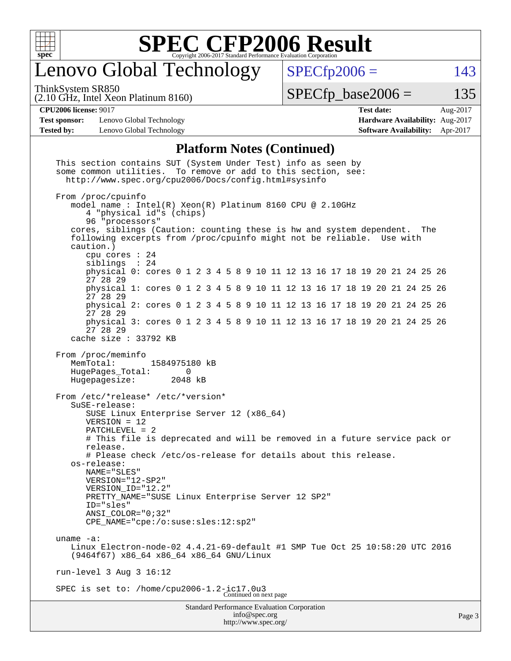

## Lenovo Global Technology

ThinkSystem SR850

 $SPECfp2006 = 143$  $SPECfp2006 = 143$ 

(2.10 GHz, Intel Xeon Platinum 8160)

 $SPECTp\_base2006 = 135$ 

**[Test sponsor:](http://www.spec.org/auto/cpu2006/Docs/result-fields.html#Testsponsor)** Lenovo Global Technology **[Hardware Availability:](http://www.spec.org/auto/cpu2006/Docs/result-fields.html#HardwareAvailability)** Aug-2017 **[Tested by:](http://www.spec.org/auto/cpu2006/Docs/result-fields.html#Testedby)** Lenovo Global Technology **[Software Availability:](http://www.spec.org/auto/cpu2006/Docs/result-fields.html#SoftwareAvailability)** Apr-2017

**[CPU2006 license:](http://www.spec.org/auto/cpu2006/Docs/result-fields.html#CPU2006license)** 9017 **[Test date:](http://www.spec.org/auto/cpu2006/Docs/result-fields.html#Testdate)** Aug-2017

#### **[Platform Notes \(Continued\)](http://www.spec.org/auto/cpu2006/Docs/result-fields.html#PlatformNotes)**

| Standard Performance Evaluation Corporation<br>info@spec.org                                                                                                                                                                                                                                                                                                                                                                                                                                         |  |
|------------------------------------------------------------------------------------------------------------------------------------------------------------------------------------------------------------------------------------------------------------------------------------------------------------------------------------------------------------------------------------------------------------------------------------------------------------------------------------------------------|--|
| SPEC is set to: /home/cpu2006-1.2-ic17.0u3<br>Continued on next page                                                                                                                                                                                                                                                                                                                                                                                                                                 |  |
| run-level $3$ Aug $3$ 16:12                                                                                                                                                                                                                                                                                                                                                                                                                                                                          |  |
| uname $-a$ :<br>Linux Electron-node-02 4.4.21-69-default #1 SMP Tue Oct 25 10:58:20 UTC 2016<br>(9464f67) x86_64 x86_64 x86_64 GNU/Linux                                                                                                                                                                                                                                                                                                                                                             |  |
| From /etc/*release* /etc/*version*<br>SuSE-release:<br>SUSE Linux Enterprise Server 12 (x86_64)<br>$VERSION = 12$<br>PATCHLEVEL = 2<br># This file is deprecated and will be removed in a future service pack or<br>release.<br># Please check /etc/os-release for details about this release.<br>os-release:<br>NAME = "SLES"<br>VERSION="12-SP2"<br>VERSION_ID="12.2"<br>PRETTY_NAME="SUSE Linux Enterprise Server 12 SP2"<br>ID="sles"<br>ANSI COLOR="0;32"<br>CPE_NAME="cpe:/o:suse:sles:12:sp2" |  |
| From /proc/meminfo<br>MemTotal:<br>1584975180 kB<br>HugePages_Total:<br>0<br>Hugepagesize:<br>2048 kB                                                                                                                                                                                                                                                                                                                                                                                                |  |
| cache size $: 33792$ KB                                                                                                                                                                                                                                                                                                                                                                                                                                                                              |  |
| physical 3: cores 0 1 2 3 4 5 8 9 10 11 12 13 16 17 18 19 20 21 24 25 26<br>27 28 29                                                                                                                                                                                                                                                                                                                                                                                                                 |  |
| physical 2: cores 0 1 2 3 4 5 8 9 10 11 12 13 16 17 18 19 20 21 24 25 26<br>27 28 29                                                                                                                                                                                                                                                                                                                                                                                                                 |  |
| physical 1: cores 0 1 2 3 4 5 8 9 10 11 12 13 16 17 18 19 20 21 24 25 26<br>27 28 29                                                                                                                                                                                                                                                                                                                                                                                                                 |  |
| caution.)<br>cpu cores : 24<br>siblings : 24<br>physical 0: cores 0 1 2 3 4 5 8 9 10 11 12 13 16 17 18 19 20 21 24 25 26<br>27 28 29                                                                                                                                                                                                                                                                                                                                                                 |  |
| From /proc/cpuinfo<br>model name: $Intel(R)$ Xeon(R) Platinum 8160 CPU @ 2.10GHz<br>4 "physical id"s (chips)<br>96 "processors"<br>cores, siblings (Caution: counting these is hw and system dependent. The<br>following excerpts from /proc/cpuinfo might not be reliable. Use with                                                                                                                                                                                                                 |  |
| some common utilities. To remove or add to this section, see:<br>http://www.spec.org/cpu2006/Docs/config.html#sysinfo                                                                                                                                                                                                                                                                                                                                                                                |  |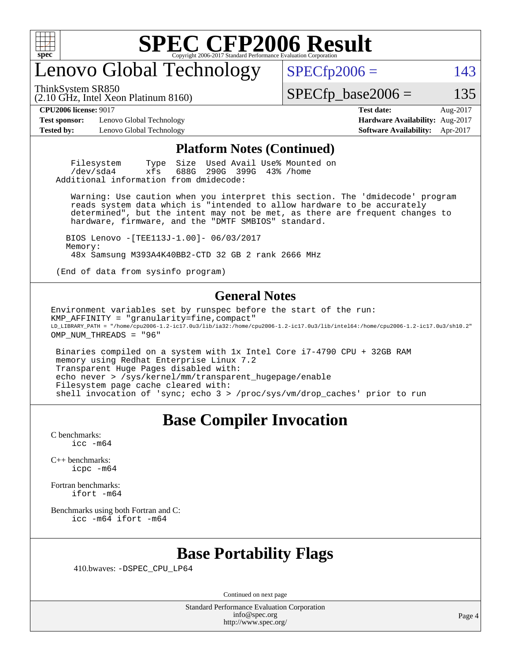

### enovo Global Technology

ThinkSystem SR850

 $SPECTp2006 = 143$ 

(2.10 GHz, Intel Xeon Platinum 8160)

 $SPECTp\_base2006 = 135$ 

**[Test sponsor:](http://www.spec.org/auto/cpu2006/Docs/result-fields.html#Testsponsor)** Lenovo Global Technology **[Hardware Availability:](http://www.spec.org/auto/cpu2006/Docs/result-fields.html#HardwareAvailability)** Aug-2017 **[Tested by:](http://www.spec.org/auto/cpu2006/Docs/result-fields.html#Testedby)** Lenovo Global Technology **[Software Availability:](http://www.spec.org/auto/cpu2006/Docs/result-fields.html#SoftwareAvailability)** Apr-2017

**[CPU2006 license:](http://www.spec.org/auto/cpu2006/Docs/result-fields.html#CPU2006license)** 9017 **[Test date:](http://www.spec.org/auto/cpu2006/Docs/result-fields.html#Testdate)** Aug-2017

#### **[Platform Notes \(Continued\)](http://www.spec.org/auto/cpu2006/Docs/result-fields.html#PlatformNotes)**

Filesystem Type Size Used Avail Use% Mounted on<br>
/dev/sda4 xfs 688G 290G 399G 43% /home 290G 399G 43% /home Additional information from dmidecode:

 Warning: Use caution when you interpret this section. The 'dmidecode' program reads system data which is "intended to allow hardware to be accurately determined", but the intent may not be met, as there are frequent changes to hardware, firmware, and the "DMTF SMBIOS" standard.

 BIOS Lenovo -[TEE113J-1.00]- 06/03/2017 Memory: 48x Samsung M393A4K40BB2-CTD 32 GB 2 rank 2666 MHz

(End of data from sysinfo program)

#### **[General Notes](http://www.spec.org/auto/cpu2006/Docs/result-fields.html#GeneralNotes)**

Environment variables set by runspec before the start of the run: KMP AFFINITY = "granularity=fine, compact"  $\verb|LD_LIBRARY_PATH = "/home/cpu2006-1.2-ic17.0u3/lib/ia32:}/home/cpu2006-1.2-ic17.0u3/lib/inte164:/home/cpu2006-1.2-ic17.0u3/sh10.2"$ OMP\_NUM\_THREADS = "96"

 Binaries compiled on a system with 1x Intel Core i7-4790 CPU + 32GB RAM memory using Redhat Enterprise Linux 7.2 Transparent Huge Pages disabled with: echo never > /sys/kernel/mm/transparent\_hugepage/enable Filesystem page cache cleared with: shell invocation of 'sync; echo 3 > /proc/sys/vm/drop\_caches' prior to run

#### **[Base Compiler Invocation](http://www.spec.org/auto/cpu2006/Docs/result-fields.html#BaseCompilerInvocation)**

[C benchmarks](http://www.spec.org/auto/cpu2006/Docs/result-fields.html#Cbenchmarks): [icc -m64](http://www.spec.org/cpu2006/results/res2017q4/cpu2006-20170918-49965.flags.html#user_CCbase_intel_icc_64bit_bda6cc9af1fdbb0edc3795bac97ada53)

[C++ benchmarks:](http://www.spec.org/auto/cpu2006/Docs/result-fields.html#CXXbenchmarks) [icpc -m64](http://www.spec.org/cpu2006/results/res2017q4/cpu2006-20170918-49965.flags.html#user_CXXbase_intel_icpc_64bit_fc66a5337ce925472a5c54ad6a0de310)

[Fortran benchmarks](http://www.spec.org/auto/cpu2006/Docs/result-fields.html#Fortranbenchmarks): [ifort -m64](http://www.spec.org/cpu2006/results/res2017q4/cpu2006-20170918-49965.flags.html#user_FCbase_intel_ifort_64bit_ee9d0fb25645d0210d97eb0527dcc06e)

[Benchmarks using both Fortran and C](http://www.spec.org/auto/cpu2006/Docs/result-fields.html#BenchmarksusingbothFortranandC): [icc -m64](http://www.spec.org/cpu2006/results/res2017q4/cpu2006-20170918-49965.flags.html#user_CC_FCbase_intel_icc_64bit_bda6cc9af1fdbb0edc3795bac97ada53) [ifort -m64](http://www.spec.org/cpu2006/results/res2017q4/cpu2006-20170918-49965.flags.html#user_CC_FCbase_intel_ifort_64bit_ee9d0fb25645d0210d97eb0527dcc06e)

#### **[Base Portability Flags](http://www.spec.org/auto/cpu2006/Docs/result-fields.html#BasePortabilityFlags)**

410.bwaves: [-DSPEC\\_CPU\\_LP64](http://www.spec.org/cpu2006/results/res2017q4/cpu2006-20170918-49965.flags.html#suite_basePORTABILITY410_bwaves_DSPEC_CPU_LP64)

Continued on next page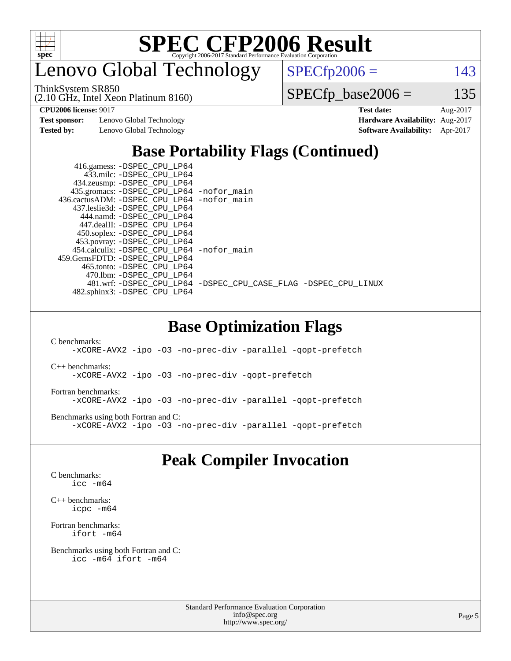

enovo Global Technology

ThinkSystem SR850

(2.10 GHz, Intel Xeon Platinum 8160)

 $SPECfp2006 = 143$  $SPECfp2006 = 143$ 

 $SPECfp\_base2006 = 135$ 

**[Test sponsor:](http://www.spec.org/auto/cpu2006/Docs/result-fields.html#Testsponsor)** Lenovo Global Technology **[Hardware Availability:](http://www.spec.org/auto/cpu2006/Docs/result-fields.html#HardwareAvailability)** Aug-2017

**[CPU2006 license:](http://www.spec.org/auto/cpu2006/Docs/result-fields.html#CPU2006license)** 9017 **[Test date:](http://www.spec.org/auto/cpu2006/Docs/result-fields.html#Testdate)** Aug-2017 **[Tested by:](http://www.spec.org/auto/cpu2006/Docs/result-fields.html#Testedby)** Lenovo Global Technology **[Software Availability:](http://www.spec.org/auto/cpu2006/Docs/result-fields.html#SoftwareAvailability)** Apr-2017

### **[Base Portability Flags \(Continued\)](http://www.spec.org/auto/cpu2006/Docs/result-fields.html#BasePortabilityFlags)**

| 416.gamess: -DSPEC_CPU_LP64<br>433.milc: -DSPEC CPU LP64 |                                                                |
|----------------------------------------------------------|----------------------------------------------------------------|
| 434.zeusmp: -DSPEC_CPU_LP64                              |                                                                |
| 435.gromacs: -DSPEC_CPU_LP64 -nofor_main                 |                                                                |
| 436.cactusADM: - DSPEC CPU LP64 - nofor main             |                                                                |
| 437.leslie3d: -DSPEC CPU LP64                            |                                                                |
| 444.namd: -DSPEC CPU LP64                                |                                                                |
| 447.dealII: -DSPEC_CPU LP64                              |                                                                |
| 450.soplex: -DSPEC_CPU_LP64                              |                                                                |
| 453.povray: -DSPEC_CPU_LP64                              |                                                                |
| 454.calculix: - DSPEC CPU LP64 - nofor main              |                                                                |
| 459. GemsFDTD: - DSPEC CPU LP64                          |                                                                |
| 465.tonto: - DSPEC CPU LP64                              |                                                                |
| 470.1bm: - DSPEC CPU LP64                                |                                                                |
|                                                          | 481.wrf: -DSPEC_CPU_LP64 -DSPEC_CPU_CASE_FLAG -DSPEC_CPU_LINUX |
| 482.sphinx3: -DSPEC CPU LP64                             |                                                                |
|                                                          |                                                                |

#### **[Base Optimization Flags](http://www.spec.org/auto/cpu2006/Docs/result-fields.html#BaseOptimizationFlags)**

[C benchmarks](http://www.spec.org/auto/cpu2006/Docs/result-fields.html#Cbenchmarks):

[-xCORE-AVX2](http://www.spec.org/cpu2006/results/res2017q4/cpu2006-20170918-49965.flags.html#user_CCbase_f-xCORE-AVX2) [-ipo](http://www.spec.org/cpu2006/results/res2017q4/cpu2006-20170918-49965.flags.html#user_CCbase_f-ipo) [-O3](http://www.spec.org/cpu2006/results/res2017q4/cpu2006-20170918-49965.flags.html#user_CCbase_f-O3) [-no-prec-div](http://www.spec.org/cpu2006/results/res2017q4/cpu2006-20170918-49965.flags.html#user_CCbase_f-no-prec-div) [-parallel](http://www.spec.org/cpu2006/results/res2017q4/cpu2006-20170918-49965.flags.html#user_CCbase_f-parallel) [-qopt-prefetch](http://www.spec.org/cpu2006/results/res2017q4/cpu2006-20170918-49965.flags.html#user_CCbase_f-qopt-prefetch)

[C++ benchmarks:](http://www.spec.org/auto/cpu2006/Docs/result-fields.html#CXXbenchmarks)

[-xCORE-AVX2](http://www.spec.org/cpu2006/results/res2017q4/cpu2006-20170918-49965.flags.html#user_CXXbase_f-xCORE-AVX2) [-ipo](http://www.spec.org/cpu2006/results/res2017q4/cpu2006-20170918-49965.flags.html#user_CXXbase_f-ipo) -03 [-no-prec-div](http://www.spec.org/cpu2006/results/res2017q4/cpu2006-20170918-49965.flags.html#user_CXXbase_f-no-prec-div) [-qopt-prefetch](http://www.spec.org/cpu2006/results/res2017q4/cpu2006-20170918-49965.flags.html#user_CXXbase_f-qopt-prefetch)

[Fortran benchmarks](http://www.spec.org/auto/cpu2006/Docs/result-fields.html#Fortranbenchmarks):

[-xCORE-AVX2](http://www.spec.org/cpu2006/results/res2017q4/cpu2006-20170918-49965.flags.html#user_FCbase_f-xCORE-AVX2) [-ipo](http://www.spec.org/cpu2006/results/res2017q4/cpu2006-20170918-49965.flags.html#user_FCbase_f-ipo) [-O3](http://www.spec.org/cpu2006/results/res2017q4/cpu2006-20170918-49965.flags.html#user_FCbase_f-O3) [-no-prec-div](http://www.spec.org/cpu2006/results/res2017q4/cpu2006-20170918-49965.flags.html#user_FCbase_f-no-prec-div) [-parallel](http://www.spec.org/cpu2006/results/res2017q4/cpu2006-20170918-49965.flags.html#user_FCbase_f-parallel) [-qopt-prefetch](http://www.spec.org/cpu2006/results/res2017q4/cpu2006-20170918-49965.flags.html#user_FCbase_f-qopt-prefetch)

[Benchmarks using both Fortran and C](http://www.spec.org/auto/cpu2006/Docs/result-fields.html#BenchmarksusingbothFortranandC): [-xCORE-AVX2](http://www.spec.org/cpu2006/results/res2017q4/cpu2006-20170918-49965.flags.html#user_CC_FCbase_f-xCORE-AVX2) [-ipo](http://www.spec.org/cpu2006/results/res2017q4/cpu2006-20170918-49965.flags.html#user_CC_FCbase_f-ipo) [-O3](http://www.spec.org/cpu2006/results/res2017q4/cpu2006-20170918-49965.flags.html#user_CC_FCbase_f-O3) [-no-prec-div](http://www.spec.org/cpu2006/results/res2017q4/cpu2006-20170918-49965.flags.html#user_CC_FCbase_f-no-prec-div) [-parallel](http://www.spec.org/cpu2006/results/res2017q4/cpu2006-20170918-49965.flags.html#user_CC_FCbase_f-parallel) [-qopt-prefetch](http://www.spec.org/cpu2006/results/res2017q4/cpu2006-20170918-49965.flags.html#user_CC_FCbase_f-qopt-prefetch)

#### **[Peak Compiler Invocation](http://www.spec.org/auto/cpu2006/Docs/result-fields.html#PeakCompilerInvocation)**

[C benchmarks](http://www.spec.org/auto/cpu2006/Docs/result-fields.html#Cbenchmarks): [icc -m64](http://www.spec.org/cpu2006/results/res2017q4/cpu2006-20170918-49965.flags.html#user_CCpeak_intel_icc_64bit_bda6cc9af1fdbb0edc3795bac97ada53)

[C++ benchmarks:](http://www.spec.org/auto/cpu2006/Docs/result-fields.html#CXXbenchmarks) [icpc -m64](http://www.spec.org/cpu2006/results/res2017q4/cpu2006-20170918-49965.flags.html#user_CXXpeak_intel_icpc_64bit_fc66a5337ce925472a5c54ad6a0de310)

[Fortran benchmarks](http://www.spec.org/auto/cpu2006/Docs/result-fields.html#Fortranbenchmarks): [ifort -m64](http://www.spec.org/cpu2006/results/res2017q4/cpu2006-20170918-49965.flags.html#user_FCpeak_intel_ifort_64bit_ee9d0fb25645d0210d97eb0527dcc06e)

[Benchmarks using both Fortran and C](http://www.spec.org/auto/cpu2006/Docs/result-fields.html#BenchmarksusingbothFortranandC): [icc -m64](http://www.spec.org/cpu2006/results/res2017q4/cpu2006-20170918-49965.flags.html#user_CC_FCpeak_intel_icc_64bit_bda6cc9af1fdbb0edc3795bac97ada53) [ifort -m64](http://www.spec.org/cpu2006/results/res2017q4/cpu2006-20170918-49965.flags.html#user_CC_FCpeak_intel_ifort_64bit_ee9d0fb25645d0210d97eb0527dcc06e)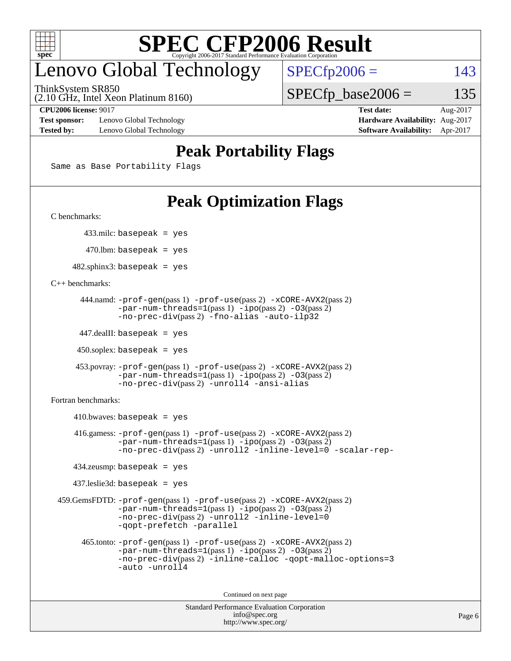

## enovo Global Technology

ThinkSystem SR850

 $SPECTp2006 = 143$ 

(2.10 GHz, Intel Xeon Platinum 8160)

**[Test sponsor:](http://www.spec.org/auto/cpu2006/Docs/result-fields.html#Testsponsor)** Lenovo Global Technology **[Hardware Availability:](http://www.spec.org/auto/cpu2006/Docs/result-fields.html#HardwareAvailability)** Aug-2017 **[Tested by:](http://www.spec.org/auto/cpu2006/Docs/result-fields.html#Testedby)** Lenovo Global Technology **[Software Availability:](http://www.spec.org/auto/cpu2006/Docs/result-fields.html#SoftwareAvailability)** Apr-2017

 $SPECTp\_base2006 = 135$ **[CPU2006 license:](http://www.spec.org/auto/cpu2006/Docs/result-fields.html#CPU2006license)** 9017 **[Test date:](http://www.spec.org/auto/cpu2006/Docs/result-fields.html#Testdate)** Aug-2017

**[Peak Portability Flags](http://www.spec.org/auto/cpu2006/Docs/result-fields.html#PeakPortabilityFlags)**

Same as Base Portability Flags

## **[Peak Optimization Flags](http://www.spec.org/auto/cpu2006/Docs/result-fields.html#PeakOptimizationFlags)**

[C benchmarks](http://www.spec.org/auto/cpu2006/Docs/result-fields.html#Cbenchmarks):

433.milc: basepeak = yes

 $470.$ lbm: basepeak = yes

 $482$ .sphinx3: basepeak = yes

[C++ benchmarks:](http://www.spec.org/auto/cpu2006/Docs/result-fields.html#CXXbenchmarks)

```
 444.namd: -prof-gen(pass 1) -prof-use(pass 2) -xCORE-AVX2(pass 2)
        -par-num-threads=1(pass 1) -ipo(pass 2) -O3(pass 2)
        -no-prec-div(pass 2) -fno-alias -auto-ilp32
```
447.dealII: basepeak = yes

 $450$ .soplex: basepeak = yes

```
 453.povray: -prof-gen(pass 1) -prof-use(pass 2) -xCORE-AVX2(pass 2)
         -par-num-threads=1-ipo-O3(pass 2)-no-prec-div(pass 2) -unroll4 -ansi-alias
```
[Fortran benchmarks](http://www.spec.org/auto/cpu2006/Docs/result-fields.html#Fortranbenchmarks):

```
410.bwaves: basepeak = yes 416.gamess: -prof-gen(pass 1) -prof-use(pass 2) -xCORE-AVX2(pass 2)
            -par-num-threads=1-ipo-O3(pass 2)-no-prec-div(pass 2) -unroll2 -inline-level=0 -scalar-rep-
    434.zeusmp: basepeak = yes
    437.leslie3d: basepeak = yes
 459.GemsFDTD: -prof-gen(pass 1) -prof-use(pass 2) -xCORE-AVX2(pass 2)
            -par-num-threads=1-ipo-O3(pass 2)-no-prec-div(pass 2) -unroll2 -inline-level=0
            -qopt-prefetch -parallel
      465.tonto: -prof-gen(pass 1) -prof-use(pass 2) -xCORE-AVX2(pass 2)
            -par-num-threads=1(pass 1) -ipo(pass 2) -O3(pass 2)
            -no-prec-div-inline-calloc-qopt-malloc-options=3
            -auto -unroll4
```
Continued on next page

```
Standard Performance Evaluation Corporation
             info@spec.org
           http://www.spec.org/
```